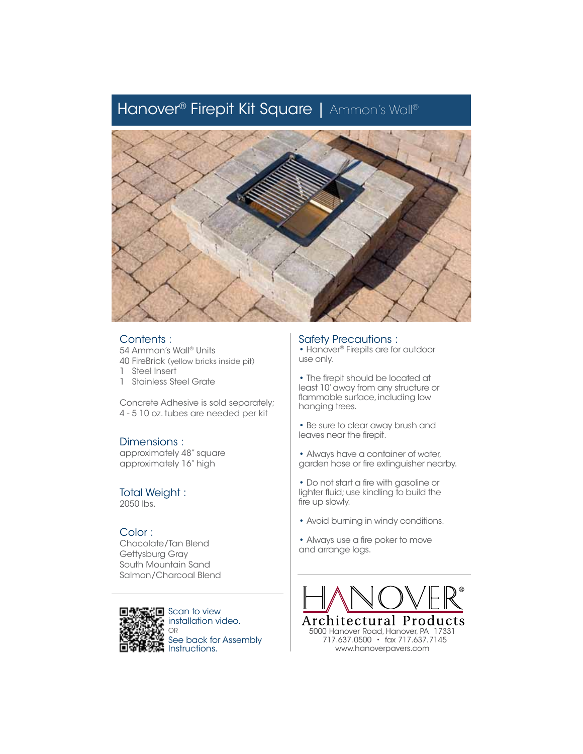# Hanover® Firepit Kit Square | Ammon's Wall®



#### Contents :

54 Ammon's Wall® Units 40 FireBrick (yellow bricks inside pit)

- 1 Steel Insert
- 1 Stainless Steel Grate

Concrete Adhesive is sold separately; 4 - 5 10 oz. tubes are needed per kit

## Dimensions :

approximately 48" square approximately 16" high

## Total Weight :

2050 lbs.

## Color :

Chocolate/Tan Blend Gettysburg Gray South Mountain Sand Salmon/Charcoal Blend



Scan to view installation video. OR See back for Assembly Instructions.

## Safety Precautions :

• Hanover® Firepits are for outdoor use only.

- The firepit should be located at least 10' away from any structure or flammable surface, including low hanging trees.
- Be sure to clear away brush and leaves near the firepit.
- Always have a container of water, garden hose or fire extinguisher nearby.
- Do not start a fire with gasoline or lighter fluid; use kindling to build the fire up slowly.
- Avoid burning in windy conditions.
- Always use a fire poker to move and arrange logs.



 717.637.0500 • fax 717.637.7145 www.hanoverpavers.com